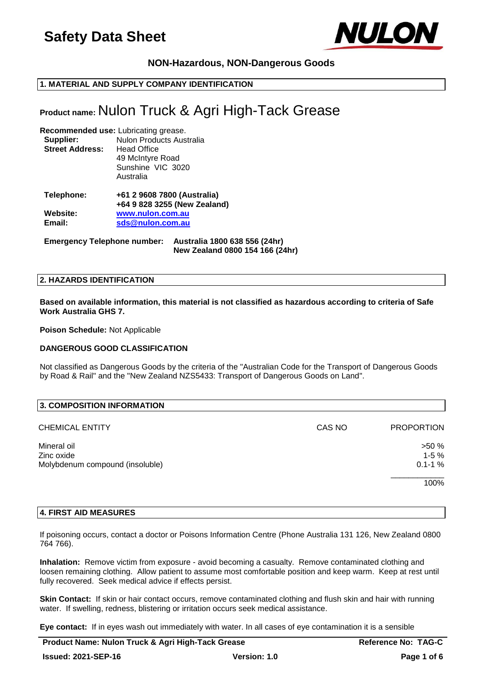

# **NON-Hazardous, NON-Dangerous Goods**

# **1. MATERIAL AND SUPPLY COMPANY IDENTIFICATION**

# **Product name:** Nulon Truck & Agri High-Tack Grease

### **Recommended use:** Lubricating grease. **Supplier:** Nulon Products Australia **Street Address:** Head Office 49 McIntyre Road Sunshine VIC 3020 Australia

## **Telephone: +61 2 9608 7800 (Australia) +64 9 828 3255 (New Zealand) Website: [www.nulon.com.au](http://www.nulon.com.au/) Email: [sds@nulon.com.au](mailto:sds@nulon.com.au)**

**Emergency Telephone number: Australia 1800 638 556 (24hr) New Zealand 0800 154 166 (24hr)**

## **2. HAZARDS IDENTIFICATION**

### **Based on available information, this material is not classified as hazardous according to criteria of Safe Work Australia GHS 7.**

**Poison Schedule:** Not Applicable

# **DANGEROUS GOOD CLASSIFICATION**

Not classified as Dangerous Goods by the criteria of the "Australian Code for the Transport of Dangerous Goods by Road & Rail" and the "New Zealand NZS5433: Transport of Dangerous Goods on Land".

| 3. COMPOSITION INFORMATION      |        |                   |
|---------------------------------|--------|-------------------|
| <b>CHEMICAL ENTITY</b>          | CAS NO | <b>PROPORTION</b> |
| Mineral oil                     |        | >50%              |
| Zinc oxide                      |        | $1-5%$            |
| Molybdenum compound (insoluble) |        | $0.1 - 1 \%$      |
|                                 |        | 100%              |

# **4. FIRST AID MEASURES**

If poisoning occurs, contact a doctor or Poisons Information Centre (Phone Australia 131 126, New Zealand 0800 764 766).

**Inhalation:** Remove victim from exposure - avoid becoming a casualty. Remove contaminated clothing and loosen remaining clothing. Allow patient to assume most comfortable position and keep warm. Keep at rest until fully recovered. Seek medical advice if effects persist.

**Skin Contact:** If skin or hair contact occurs, remove contaminated clothing and flush skin and hair with running water. If swelling, redness, blistering or irritation occurs seek medical assistance.

**Eye contact:** If in eyes wash out immediately with water. In all cases of eye contamination it is a sensible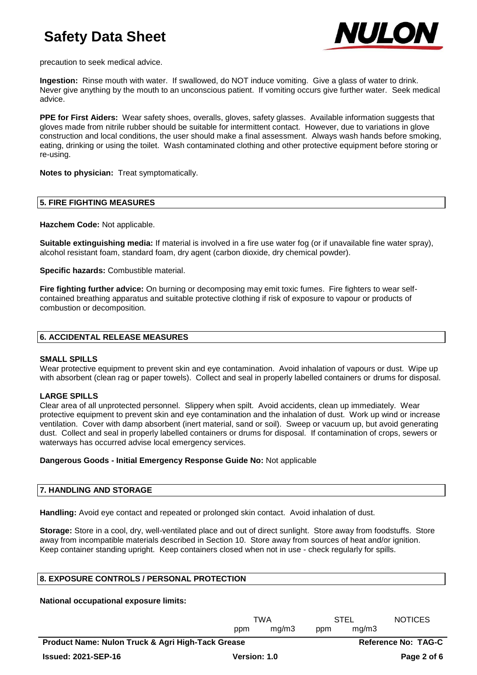

precaution to seek medical advice.

**Ingestion:** Rinse mouth with water. If swallowed, do NOT induce vomiting. Give a glass of water to drink. Never give anything by the mouth to an unconscious patient. If vomiting occurs give further water. Seek medical advice.

**PPE for First Aiders:** Wear safety shoes, overalls, gloves, safety glasses. Available information suggests that gloves made from nitrile rubber should be suitable for intermittent contact. However, due to variations in glove construction and local conditions, the user should make a final assessment. Always wash hands before smoking, eating, drinking or using the toilet. Wash contaminated clothing and other protective equipment before storing or re-using.

**Notes to physician:** Treat symptomatically.

## **5. FIRE FIGHTING MEASURES**

**Hazchem Code:** Not applicable.

**Suitable extinguishing media:** If material is involved in a fire use water fog (or if unavailable fine water spray), alcohol resistant foam, standard foam, dry agent (carbon dioxide, dry chemical powder).

**Specific hazards:** Combustible material.

**Fire fighting further advice:** On burning or decomposing may emit toxic fumes. Fire fighters to wear selfcontained breathing apparatus and suitable protective clothing if risk of exposure to vapour or products of combustion or decomposition.

## **6. ACCIDENTAL RELEASE MEASURES**

### **SMALL SPILLS**

Wear protective equipment to prevent skin and eye contamination. Avoid inhalation of vapours or dust. Wipe up with absorbent (clean rag or paper towels). Collect and seal in properly labelled containers or drums for disposal.

# **LARGE SPILLS**

Clear area of all unprotected personnel. Slippery when spilt. Avoid accidents, clean up immediately. Wear protective equipment to prevent skin and eye contamination and the inhalation of dust. Work up wind or increase ventilation. Cover with damp absorbent (inert material, sand or soil). Sweep or vacuum up, but avoid generating dust. Collect and seal in properly labelled containers or drums for disposal. If contamination of crops, sewers or waterways has occurred advise local emergency services.

# **Dangerous Goods - Initial Emergency Response Guide No:** Not applicable

# **7. HANDLING AND STORAGE**

**Handling:** Avoid eye contact and repeated or prolonged skin contact. Avoid inhalation of dust.

**Storage:** Store in a cool, dry, well-ventilated place and out of direct sunlight. Store away from foodstuffs. Store away from incompatible materials described in Section 10. Store away from sources of heat and/or ignition. Keep container standing upright. Keep containers closed when not in use - check regularly for spills.

# **8. EXPOSURE CONTROLS / PERSONAL PROTECTION**

# **National occupational exposure limits:**

|                                                   | TWA          |       | <b>STEL</b> |                            | <b>NOTICES</b> |
|---------------------------------------------------|--------------|-------|-------------|----------------------------|----------------|
|                                                   | ppm          | ma/m3 | ppm         | ma/m3                      |                |
| Product Name: Nulon Truck & Agri High-Tack Grease |              |       |             | <b>Reference No: TAG-C</b> |                |
| <b>Issued: 2021-SEP-16</b>                        | Version: 1.0 |       |             |                            | Page 2 of 6    |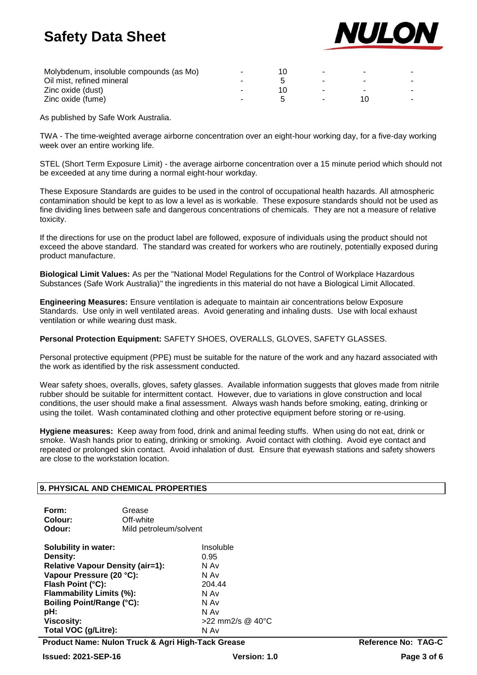

| Molybdenum, insoluble compounds (as Mo) | $\sim$ | - |  |
|-----------------------------------------|--------|---|--|
| Oil mist, refined mineral               |        |   |  |
| Zinc oxide (dust)                       |        |   |  |
| Zinc oxide (fume)                       |        |   |  |

As published by Safe Work Australia.

TWA - The time-weighted average airborne concentration over an eight-hour working day, for a five-day working week over an entire working life.

STEL (Short Term Exposure Limit) - the average airborne concentration over a 15 minute period which should not be exceeded at any time during a normal eight-hour workday.

These Exposure Standards are guides to be used in the control of occupational health hazards. All atmospheric contamination should be kept to as low a level as is workable. These exposure standards should not be used as fine dividing lines between safe and dangerous concentrations of chemicals. They are not a measure of relative toxicity.

If the directions for use on the product label are followed, exposure of individuals using the product should not exceed the above standard. The standard was created for workers who are routinely, potentially exposed during product manufacture.

**Biological Limit Values:** As per the "National Model Regulations for the Control of Workplace Hazardous Substances (Safe Work Australia)" the ingredients in this material do not have a Biological Limit Allocated.

**Engineering Measures:** Ensure ventilation is adequate to maintain air concentrations below Exposure Standards. Use only in well ventilated areas. Avoid generating and inhaling dusts. Use with local exhaust ventilation or while wearing dust mask.

**Personal Protection Equipment:** SAFETY SHOES, OVERALLS, GLOVES, SAFETY GLASSES.

Personal protective equipment (PPE) must be suitable for the nature of the work and any hazard associated with the work as identified by the risk assessment conducted.

Wear safety shoes, overalls, gloves, safety glasses. Available information suggests that gloves made from nitrile rubber should be suitable for intermittent contact. However, due to variations in glove construction and local conditions, the user should make a final assessment. Always wash hands before smoking, eating, drinking or using the toilet. Wash contaminated clothing and other protective equipment before storing or re-using.

**Hygiene measures:** Keep away from food, drink and animal feeding stuffs. When using do not eat, drink or smoke. Wash hands prior to eating, drinking or smoking. Avoid contact with clothing. Avoid eye contact and repeated or prolonged skin contact. Avoid inhalation of dust. Ensure that eyewash stations and safety showers are close to the workstation location.

# **9. PHYSICAL AND CHEMICAL PROPERTIES**

| Form:   | Grease                 |
|---------|------------------------|
| Colour: | Off-white              |
| Odour:  | Mild petroleum/solvent |

| Solubility in water:                    | Insoluble        |
|-----------------------------------------|------------------|
| Density:                                | 0.95             |
| <b>Relative Vapour Density (air=1):</b> | N Av             |
| Vapour Pressure (20 °C):                | N Av             |
| Flash Point (°C):                       | 204.44           |
| Flammability Limits (%):                | N Av             |
| Boiling Point/Range (°C):               | N Av             |
| pH:                                     | N Av             |
| <b>Viscosity:</b>                       | >22 mm2/s @ 40°C |
| Total VOC (g/Litre):                    | N Av             |

**Product Name: Nulon Truck & Agri High-Tack Grease <b>Reference No: TAG-C**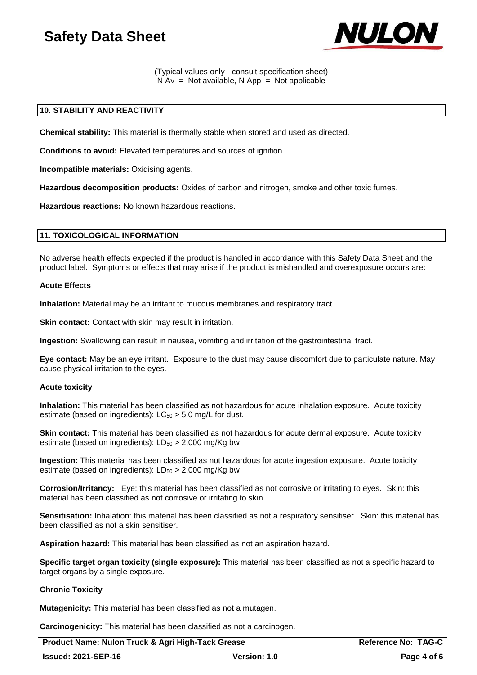

(Typical values only - consult specification sheet)  $N Av = Not available, N App = Not applicable$ 

# **10. STABILITY AND REACTIVITY**

**Chemical stability:** This material is thermally stable when stored and used as directed.

**Conditions to avoid:** Elevated temperatures and sources of ignition.

**Incompatible materials:** Oxidising agents.

**Hazardous decomposition products:** Oxides of carbon and nitrogen, smoke and other toxic fumes.

**Hazardous reactions:** No known hazardous reactions.

# **11. TOXICOLOGICAL INFORMATION**

No adverse health effects expected if the product is handled in accordance with this Safety Data Sheet and the product label. Symptoms or effects that may arise if the product is mishandled and overexposure occurs are:

### **Acute Effects**

**Inhalation:** Material may be an irritant to mucous membranes and respiratory tract.

**Skin contact:** Contact with skin may result in irritation.

**Ingestion:** Swallowing can result in nausea, vomiting and irritation of the gastrointestinal tract.

**Eye contact:** May be an eye irritant. Exposure to the dust may cause discomfort due to particulate nature. May cause physical irritation to the eyes.

### **Acute toxicity**

**Inhalation:** This material has been classified as not hazardous for acute inhalation exposure. Acute toxicity estimate (based on ingredients):  $LC_{50} > 5.0$  mg/L for dust.

**Skin contact:** This material has been classified as not hazardous for acute dermal exposure. Acute toxicity estimate (based on ingredients):  $LD_{50} > 2,000$  mg/Kg bw

**Ingestion:** This material has been classified as not hazardous for acute ingestion exposure. Acute toxicity estimate (based on ingredients):  $LD_{50} > 2,000$  mg/Kg bw

**Corrosion/Irritancy:** Eye: this material has been classified as not corrosive or irritating to eyes. Skin: this material has been classified as not corrosive or irritating to skin.

**Sensitisation:** Inhalation: this material has been classified as not a respiratory sensitiser. Skin: this material has been classified as not a skin sensitiser.

**Aspiration hazard:** This material has been classified as not an aspiration hazard.

**Specific target organ toxicity (single exposure):** This material has been classified as not a specific hazard to target organs by a single exposure.

### **Chronic Toxicity**

**Mutagenicity:** This material has been classified as not a mutagen.

**Carcinogenicity:** This material has been classified as not a carcinogen.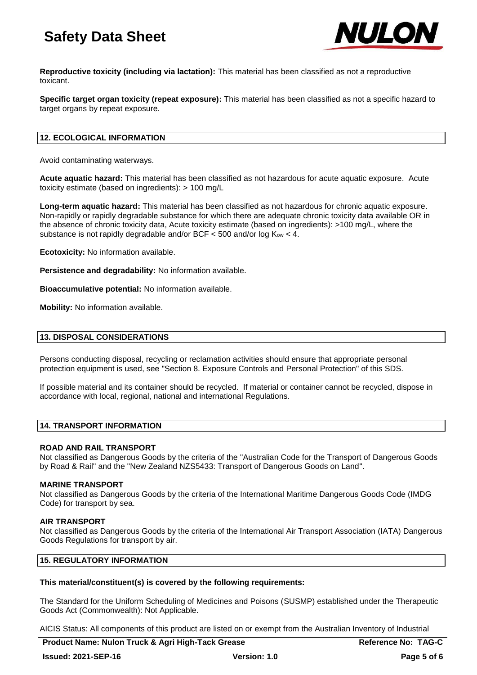

**Reproductive toxicity (including via lactation):** This material has been classified as not a reproductive toxicant.

**Specific target organ toxicity (repeat exposure):** This material has been classified as not a specific hazard to target organs by repeat exposure.

## **12. ECOLOGICAL INFORMATION**

Avoid contaminating waterways.

**Acute aquatic hazard:** This material has been classified as not hazardous for acute aquatic exposure. Acute toxicity estimate (based on ingredients): > 100 mg/L

**Long-term aquatic hazard:** This material has been classified as not hazardous for chronic aquatic exposure. Non-rapidly or rapidly degradable substance for which there are adequate chronic toxicity data available OR in the absence of chronic toxicity data, Acute toxicity estimate (based on ingredients): >100 mg/L, where the substance is not rapidly degradable and/or BCF  $<$  500 and/or log  $K_{ow}$   $<$  4.

**Ecotoxicity:** No information available.

**Persistence and degradability:** No information available.

**Bioaccumulative potential:** No information available.

**Mobility:** No information available.

## **13. DISPOSAL CONSIDERATIONS**

Persons conducting disposal, recycling or reclamation activities should ensure that appropriate personal protection equipment is used, see "Section 8. Exposure Controls and Personal Protection" of this SDS.

If possible material and its container should be recycled. If material or container cannot be recycled, dispose in accordance with local, regional, national and international Regulations.

# **14. TRANSPORT INFORMATION**

### **ROAD AND RAIL TRANSPORT**

Not classified as Dangerous Goods by the criteria of the "Australian Code for the Transport of Dangerous Goods by Road & Rail" and the "New Zealand NZS5433: Transport of Dangerous Goods on Land".

### **MARINE TRANSPORT**

Not classified as Dangerous Goods by the criteria of the International Maritime Dangerous Goods Code (IMDG Code) for transport by sea.

### **AIR TRANSPORT**

Not classified as Dangerous Goods by the criteria of the International Air Transport Association (IATA) Dangerous Goods Regulations for transport by air.

## **15. REGULATORY INFORMATION**

### **This material/constituent(s) is covered by the following requirements:**

The Standard for the Uniform Scheduling of Medicines and Poisons (SUSMP) established under the Therapeutic Goods Act (Commonwealth): Not Applicable.

AICIS Status: All components of this product are listed on or exempt from the Australian Inventory of Industrial